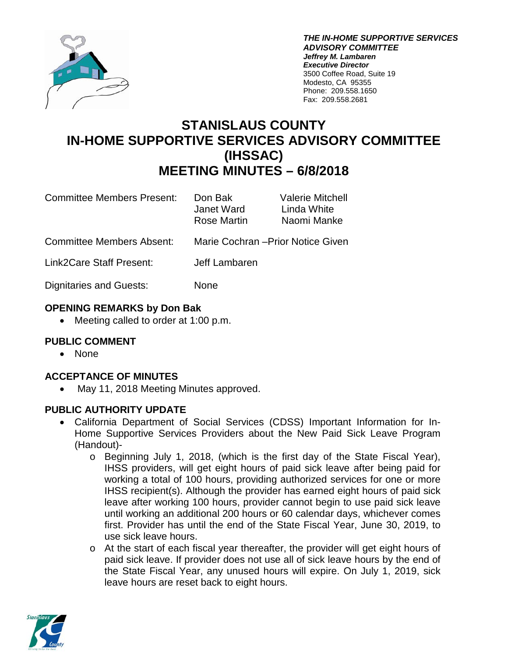

*THE IN-HOME SUPPORTIVE SERVICES ADVISORY COMMITTEE Jeffrey M. Lambaren Executive Director* 3500 Coffee Road, Suite 19 Modesto, CA 95355 Phone: 209.558.1650 Fax: 209.558.2681

# **STANISLAUS COUNTY IN-HOME SUPPORTIVE SERVICES ADVISORY COMMITTEE (IHSSAC) MEETING MINUTES – 6/8/2018**

| <b>Committee Members Present:</b> | Don Bak<br>Janet Ward<br>Rose Martin | <b>Valerie Mitchell</b><br>Linda White<br>Naomi Manke |
|-----------------------------------|--------------------------------------|-------------------------------------------------------|
| <b>Committee Members Absent:</b>  | Marie Cochran - Prior Notice Given   |                                                       |
| Link2Care Staff Present:          | Jeff Lambaren                        |                                                       |
| <b>Dignitaries and Guests:</b>    | None                                 |                                                       |

## **OPENING REMARKS by Don Bak**

• Meeting called to order at 1:00 p.m.

## **PUBLIC COMMENT**

• None

## **ACCEPTANCE OF MINUTES**

• May 11, 2018 Meeting Minutes approved.

## **PUBLIC AUTHORITY UPDATE**

- California Department of Social Services (CDSS) Important Information for In-Home Supportive Services Providers about the New Paid Sick Leave Program (Handout)
	- o Beginning July 1, 2018, (which is the first day of the State Fiscal Year), IHSS providers, will get eight hours of paid sick leave after being paid for working a total of 100 hours, providing authorized services for one or more IHSS recipient(s). Although the provider has earned eight hours of paid sick leave after working 100 hours, provider cannot begin to use paid sick leave until working an additional 200 hours or 60 calendar days, whichever comes first. Provider has until the end of the State Fiscal Year, June 30, 2019, to use sick leave hours.
	- o At the start of each fiscal year thereafter, the provider will get eight hours of paid sick leave. If provider does not use all of sick leave hours by the end of the State Fiscal Year, any unused hours will expire. On July 1, 2019, sick leave hours are reset back to eight hours.

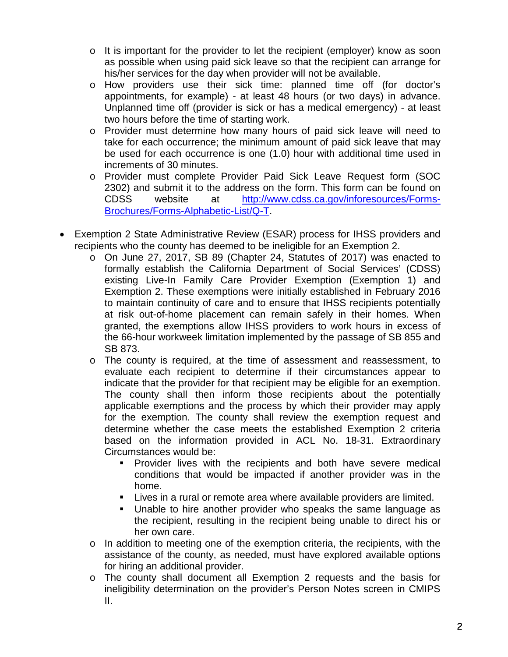- $\circ$  It is important for the provider to let the recipient (employer) know as soon as possible when using paid sick leave so that the recipient can arrange for his/her services for the day when provider will not be available.
- o How providers use their sick time: planned time off (for doctor's appointments, for example) - at least 48 hours (or two days) in advance. Unplanned time off (provider is sick or has a medical emergency) - at least two hours before the time of starting work.
- o Provider must determine how many hours of paid sick leave will need to take for each occurrence; the minimum amount of paid sick leave that may be used for each occurrence is one (1.0) hour with additional time used in increments of 30 minutes.
- o Provider must complete Provider Paid Sick Leave Request form (SOC 2302) and submit it to the address on the form. This form can be found on CDSS website at [http://www.cdss.ca.gov/inforesources/Forms-](http://www.cdss.ca.gov/inforesources/Forms-Brochures/Forms-Alphabetic-List/Q-T)[Brochures/Forms-Alphabetic-List/Q-T.](http://www.cdss.ca.gov/inforesources/Forms-Brochures/Forms-Alphabetic-List/Q-T)
- Exemption 2 State Administrative Review (ESAR) process for IHSS providers and recipients who the county has deemed to be ineligible for an Exemption 2.
	- o On June 27, 2017, SB 89 (Chapter 24, Statutes of 2017) was enacted to formally establish the California Department of Social Services' (CDSS) existing Live-In Family Care Provider Exemption (Exemption 1) and Exemption 2. These exemptions were initially established in February 2016 to maintain continuity of care and to ensure that IHSS recipients potentially at risk out-of-home placement can remain safely in their homes. When granted, the exemptions allow IHSS providers to work hours in excess of the 66-hour workweek limitation implemented by the passage of SB 855 and SB 873.
	- o The county is required, at the time of assessment and reassessment, to evaluate each recipient to determine if their circumstances appear to indicate that the provider for that recipient may be eligible for an exemption. The county shall then inform those recipients about the potentially applicable exemptions and the process by which their provider may apply for the exemption. The county shall review the exemption request and determine whether the case meets the established Exemption 2 criteria based on the information provided in ACL No. 18-31. Extraordinary Circumstances would be:
		- Provider lives with the recipients and both have severe medical conditions that would be impacted if another provider was in the home.
		- Lives in a rural or remote area where available providers are limited.
		- Unable to hire another provider who speaks the same language as the recipient, resulting in the recipient being unable to direct his or her own care.
	- $\circ$  In addition to meeting one of the exemption criteria, the recipients, with the assistance of the county, as needed, must have explored available options for hiring an additional provider.
	- o The county shall document all Exemption 2 requests and the basis for ineligibility determination on the provider's Person Notes screen in CMIPS II.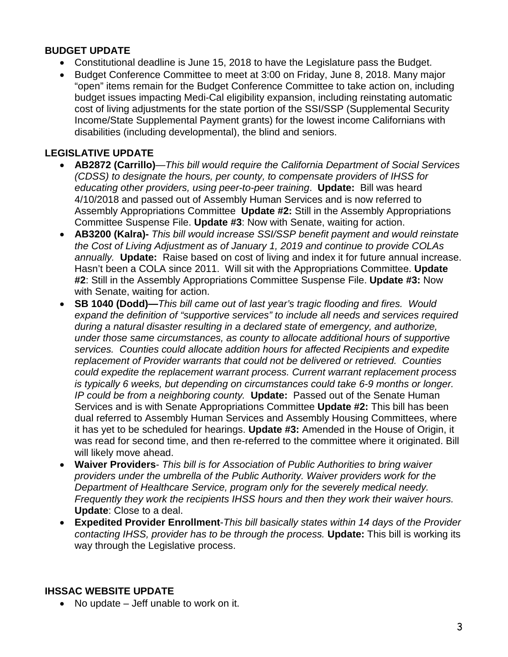#### **BUDGET UPDATE**

- Constitutional deadline is June 15, 2018 to have the Legislature pass the Budget.
- Budget Conference Committee to meet at 3:00 on Friday, June 8, 2018. Many major "open" items remain for the Budget Conference Committee to take action on, including budget issues impacting Medi-Cal eligibility expansion, including reinstating automatic cost of living adjustments for the state portion of the SSI/SSP (Supplemental Security Income/State Supplemental Payment grants) for the lowest income Californians with disabilities (including developmental), the blind and seniors.

## **LEGISLATIVE UPDATE**

- **AB2872 (Carrillo)**—*This bill would require the California Department of Social Services (CDSS) to designate the hours, per county, to compensate providers of IHSS for educating other providers, using peer-to-peer training*. **Update:** Bill was heard 4/10/2018 and passed out of Assembly Human Services and is now referred to Assembly Appropriations Committee **Update #2:** Still in the Assembly Appropriations Committee Suspense File. **Update #3**: Now with Senate, waiting for action.
- **AB3200 (Kalra)-** *This bill would increase SSI/SSP benefit payment and would reinstate the Cost of Living Adjustment as of January 1, 2019 and continue to provide COLAs annually.* **Update:** Raise based on cost of living and index it for future annual increase. Hasn't been a COLA since 2011. Will sit with the Appropriations Committee. **Update #2**: Still in the Assembly Appropriations Committee Suspense File. **Update #3:** Now with Senate, waiting for action.
- **SB 1040 (Dodd)—***This bill came out of last year's tragic flooding and fires. Would expand the definition of "supportive services" to include all needs and services required during a natural disaster resulting in a declared state of emergency, and authorize, under those same circumstances, as county to allocate additional hours of supportive services. Counties could allocate addition hours for affected Recipients and expedite replacement of Provider warrants that could not be delivered or retrieved. Counties could expedite the replacement warrant process. Current warrant replacement process is typically 6 weeks, but depending on circumstances could take 6-9 months or longer. IP could be from a neighboring county.* **Update:** Passed out of the Senate Human Services and is with Senate Appropriations Committee **Update #2:** This bill has been dual referred to Assembly Human Services and Assembly Housing Committees, where it has yet to be scheduled for hearings. **Update #3:** Amended in the House of Origin, it was read for second time, and then re-referred to the committee where it originated. Bill will likely move ahead.
- **Waiver Providers** *This bill is for Association of Public Authorities to bring waiver providers under the umbrella of the Public Authority. Waiver providers work for the Department of Healthcare Service, program only for the severely medical needy. Frequently they work the recipients IHSS hours and then they work their waiver hours.* **Update**: Close to a deal.
- **Expedited Provider Enrollment**-*This bill basically states within 14 days of the Provider contacting IHSS, provider has to be through the process.* **Update:** This bill is working its way through the Legislative process.

## **IHSSAC WEBSITE UPDATE**

• No update – Jeff unable to work on it.